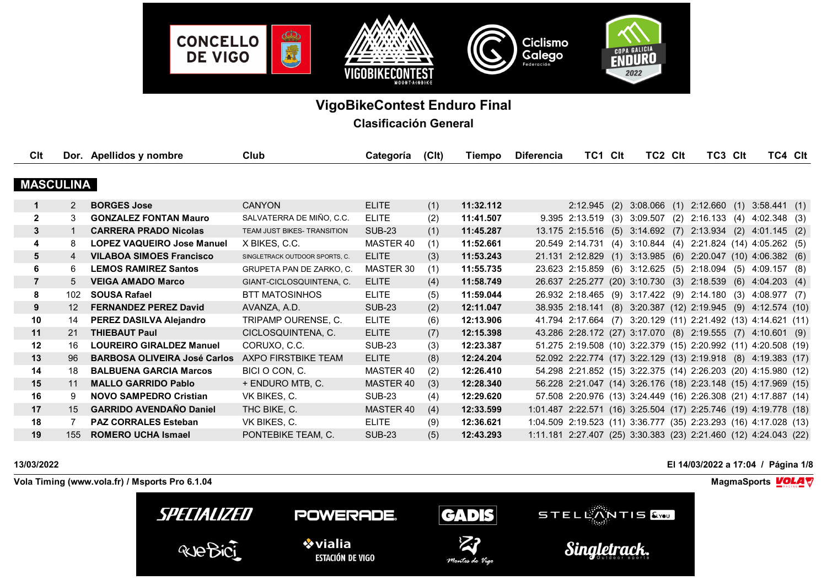

# **VigoBikeContest Enduro Final**

**Clasificación General**

| CIt              |               | Dor. Apellidos y nombre             | Club                            | Categoría     | (C <sub>l</sub> ) | Tiempo    | <b>Diferencia</b> | TC1 Clt              |     | TC2 CIt  |     | TC3 CIt                                                          | TC4 CIt              |     |
|------------------|---------------|-------------------------------------|---------------------------------|---------------|-------------------|-----------|-------------------|----------------------|-----|----------|-----|------------------------------------------------------------------|----------------------|-----|
| <b>MASCULINA</b> |               |                                     |                                 |               |                   |           |                   |                      |     |          |     |                                                                  |                      |     |
|                  | $\mathcal{P}$ | <b>BORGES Jose</b>                  | <b>CANYON</b>                   | <b>ELITE</b>  | (1)               | 11:32.112 |                   | 2:12.945             | (2) |          |     | $3:08.066$ (1) $2:12.660$ (1)                                    | 3:58.441(1)          |     |
| $\overline{2}$   | 3             | <b>GONZALEZ FONTAN Mauro</b>        | SALVATERRA DE MIÑO, C.C.        | <b>ELITE</b>  | (2)               | 11:41.507 |                   | $9.395$ 2:13.519 (3) |     | 3:09.507 |     | $(2)$ 2:16.133                                                   | $(4)$ 4:02.348 $(3)$ |     |
| $\mathbf{3}$     |               | <b>CARRERA PRADO Nicolas</b>        | TEAM JUST BIKES- TRANSITION     | <b>SUB-23</b> | (1)               | 11:45.287 |                   |                      |     |          |     | 13.175 2:15.516 (5) 3:14.692 (7) 2:13.934 (2) 4:01.145           |                      | (2) |
| 4                | 8             | <b>LOPEZ VAQUEIRO Jose Manuel</b>   | X BIKES, C.C.                   | MASTER 40     | (1)               | 11:52.661 |                   | 20.549 2:14.731 (4)  |     | 3:10.844 | (4) | 2:21.824 (14) 4:05.262 (5)                                       |                      |     |
| 5                | 4             | <b>VILABOA SIMOES Francisco</b>     | SINGLETRACK OUTDOOR SPORTS, C.  | <b>ELITE</b>  | (3)               | 11:53.243 |                   |                      |     |          |     | 21.131 2:12.829 (1) 3:13.985 (6) 2:20.047 (10) 4:06.382          |                      | (6) |
| 6                | 6             | <b>LEMOS RAMIREZ Santos</b>         | <b>GRUPETA PAN DE ZARKO, C.</b> | MASTER 30     | (1)               | 11:55.735 |                   |                      |     |          |     | 23.623 2:15.859 (6) 3:12.625 (5) 2:18.094 (5) 4:09.157           |                      | (8) |
| $\overline{7}$   | 5             | <b>VEIGA AMADO Marco</b>            | GIANT-CICLOSQUINTENA, C.        | <b>ELITE</b>  | (4)               | 11:58.749 |                   |                      |     |          |     | 26.637 2:25.277 (20) 3:10.730 (3) 2:18.539 (6) 4:04.203          |                      | (4) |
| 8                | 102           | <b>SOUSA Rafael</b>                 | <b>BTT MATOSINHOS</b>           | <b>ELITE</b>  | (5)               | 11:59.044 |                   |                      |     |          |     | 26.932 2:18.465 (9) 3:17.422 (9) 2:14.180 (3) 4:08.977 (7)       |                      |     |
| 9                | 12            | <b>FERNANDEZ PEREZ David</b>        | AVANZA, A.D.                    | <b>SUB-23</b> | (2)               | 12:11.047 |                   |                      |     |          |     | 38.935 2:18.141 (8) 3:20.387 (12) 2:19.945 (9) 4:12.574 (10)     |                      |     |
| 10               | 14            | PEREZ DASILVA Alejandro             | TRIPAMP OURENSE, C.             | <b>ELITE</b>  | (6)               | 12:13.906 |                   |                      |     |          |     | 41.794 2:17.664 (7) 3:20.129 (11) 2:21.492 (13) 4:14.621 (11)    |                      |     |
| 11               | 21            | <b>THIEBAUT Paul</b>                | CICLOSQUINTENA, C.              | <b>ELITE</b>  | (7)               | 12:15.398 |                   |                      |     |          |     | 43.286 2:28.172 (27) 3:17.070 (8) 2:19.555 (7) 4:10.601 (9)      |                      |     |
| 12               | 16            | <b>LOUREIRO GIRALDEZ Manuel</b>     | CORUXO, C.C.                    | <b>SUB-23</b> | (3)               | 12:23.387 |                   |                      |     |          |     | 51.275 2:19.508 (10) 3:22.379 (15) 2:20.992 (11) 4:20.508 (19)   |                      |     |
| 13               | 96            | <b>BARBOSA OLIVEIRA José Carlos</b> | AXPO FIRSTBIKE TEAM             | <b>ELITE</b>  | (8)               | 12:24.204 |                   |                      |     |          |     | 52.092 2:22.774 (17) 3:22.129 (13) 2:19.918 (8) 4:19.383 (17)    |                      |     |
| 14               | 18            | <b>BALBUENA GARCIA Marcos</b>       | BICI O CON, C.                  | MASTER 40     | (2)               | 12:26.410 |                   |                      |     |          |     | 54.298 2:21.852 (15) 3:22.375 (14) 2:26.203 (20) 4:15.980 (12)   |                      |     |
| 15               | 11            | <b>MALLO GARRIDO Pablo</b>          | + ENDURO MTB, C.                | MASTER 40     | (3)               | 12:28.340 |                   |                      |     |          |     | 56.228 2:21.047 (14) 3:26.176 (18) 2:23.148 (15) 4:17.969 (15)   |                      |     |
| 16               | 9             | <b>NOVO SAMPEDRO Cristian</b>       | VK BIKES, C.                    | SUB-23        | (4)               | 12:29.620 |                   |                      |     |          |     | 57.508 2:20.976 (13) 3:24.449 (16) 2:26.308 (21) 4:17.887 (14)   |                      |     |
| 17               | 15            | <b>GARRIDO AVENDAÑO Daniel</b>      | THC BIKE, C.                    | MASTER 40     | (4)               | 12:33.599 |                   |                      |     |          |     | 1:01.487 2:22.571 (16) 3:25.504 (17) 2:25.746 (19) 4:19.778 (18) |                      |     |
| 18               |               | <b>PAZ CORRALES Esteban</b>         | VK BIKES, C.                    | <b>ELITE</b>  | (9)               | 12:36.621 |                   |                      |     |          |     | 1:04.509 2:19.523 (11) 3:36.777 (35) 2:23.293 (16) 4:17.028 (13) |                      |     |
| 19               | 155           | <b>ROMERO UCHA Ismael</b>           | PONTEBIKE TEAM, C.              | <b>SUB-23</b> | (5)               | 12:43.293 |                   |                      |     |          |     | 1:11.181 2:27.407 (25) 3:30.383 (23) 2:21.460 (12) 4:24.043 (22) |                      |     |



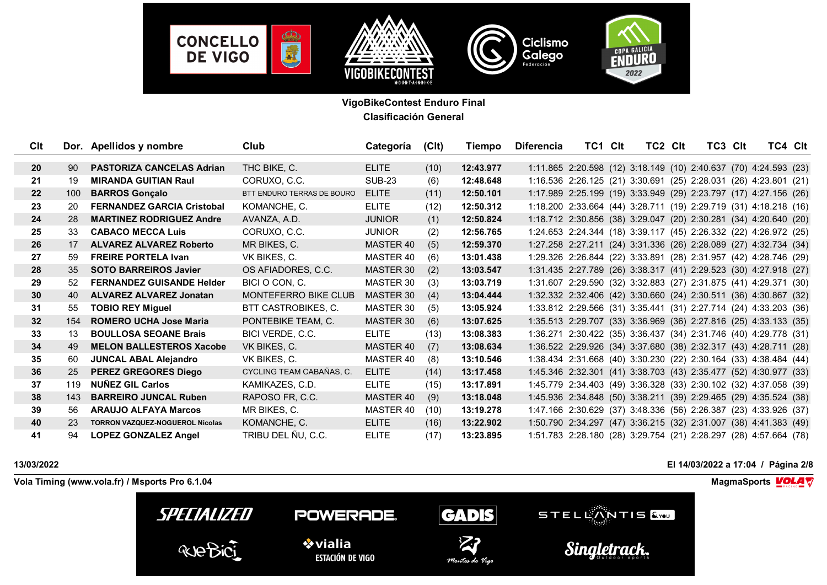

| <b>C</b> It     |     | Dor. Apellidos y nombre                | Club                       | Categoría     | (C <sub>l</sub> ) | Tiempo    | <b>Diferencia</b> | TC1 CIt                                                          | TC2 CIt | TC3 CIt | TC4 CIt |  |
|-----------------|-----|----------------------------------------|----------------------------|---------------|-------------------|-----------|-------------------|------------------------------------------------------------------|---------|---------|---------|--|
| <b>20</b>       | 90  | <b>PASTORIZA CANCELAS Adrian</b>       | THC BIKE, C.               | <b>ELITE</b>  | (10)              | 12:43.977 |                   | 1:11.865 2:20.598 (12) 3:18.149 (10) 2:40.637 (70) 4:24.593 (23) |         |         |         |  |
| 21              | 19  | <b>MIRANDA GUITIAN Raul</b>            | CORUXO, C.C.               | <b>SUB-23</b> | (6)               | 12:48.648 |                   | 1:16.536 2:26.125 (21) 3:30.691 (25) 2:28.031 (26) 4:23.801 (21) |         |         |         |  |
| 22              | 100 | <b>BARROS Gonçalo</b>                  | BTT ENDURO TERRAS DE BOURO | <b>ELITE</b>  | (11)              | 12:50.101 |                   | 1:17.989 2:25.199 (19) 3:33.949 (29) 2:23.797 (17) 4:27.156 (26) |         |         |         |  |
| 23              | 20  | <b>FERNANDEZ GARCIA Cristobal</b>      | KOMANCHE, C.               | <b>ELITE</b>  | (12)              | 12:50.312 |                   | 1:18.200 2:33.664 (44) 3:28.711 (19) 2:29.719 (31) 4:18.218 (16) |         |         |         |  |
| 24              | 28  | <b>MARTINEZ RODRIGUEZ Andre</b>        | AVANZA, A.D.               | <b>JUNIOR</b> | (1)               | 12:50.824 |                   | 1:18.712 2:30.856 (38) 3:29.047 (20) 2:30.281 (34) 4:20.640 (20) |         |         |         |  |
| 25              | 33  | <b>CABACO MECCA Luis</b>               | CORUXO, C.C.               | <b>JUNIOR</b> | (2)               | 12:56.765 |                   | 1:24.653 2:24.344 (18) 3:39.117 (45) 2:26.332 (22) 4:26.972 (25) |         |         |         |  |
| 26              | 17  | <b>ALVAREZ ALVAREZ Roberto</b>         | MR BIKES, C.               | MASTER 40     | (5)               | 12:59.370 |                   | 1:27.258 2:27.211 (24) 3:31.336 (26) 2:28.089 (27) 4:32.734 (34) |         |         |         |  |
| 27              | 59  | <b>FREIRE PORTELA Ivan</b>             | VK BIKES, C.               | MASTER 40     | (6)               | 13:01.438 |                   | 1:29.326 2:26.844 (22) 3:33.891 (28) 2:31.957 (42) 4:28.746 (29) |         |         |         |  |
| 28              | 35  | <b>SOTO BARREIROS Javier</b>           | OS AFIADORES, C.C.         | MASTER 30     | (2)               | 13:03.547 |                   | 1:31.435 2:27.789 (26) 3:38.317 (41) 2:29.523 (30) 4:27.918 (27) |         |         |         |  |
| 29              | 52  | <b>FERNANDEZ GUISANDE Helder</b>       | BICI O CON, C.             | MASTER 30     | (3)               | 13:03.719 |                   | 1:31.607 2:29.590 (32) 3:32.883 (27) 2:31.875 (41) 4:29.371 (30) |         |         |         |  |
| 30 <sup>°</sup> | 40  | <b>ALVAREZ ALVAREZ Jonatan</b>         | MONTEFERRO BIKE CLUB       | MASTER 30     | (4)               | 13:04.444 |                   | 1:32.332 2:32.406 (42) 3:30.660 (24) 2:30.511 (36) 4:30.867 (32) |         |         |         |  |
| 31              | 55  | <b>TOBIO REY Miguel</b>                | BTT CASTROBIKES, C.        | MASTER 30     | (5)               | 13:05.924 |                   | 1:33.812 2:29.566 (31) 3:35.441 (31) 2:27.714 (24) 4:33.203 (36) |         |         |         |  |
| 32              | 154 | <b>ROMERO UCHA Jose Maria</b>          | PONTEBIKE TEAM, C.         | MASTER 30     | (6)               | 13:07.625 |                   | 1:35.513 2:29.707 (33) 3:36.969 (36) 2:27.816 (25) 4:33.133 (35) |         |         |         |  |
| 33              | 13  | <b>BOULLOSA SEOANE Brais</b>           | BICI VERDE, C.C.           | <b>ELITE</b>  | (13)              | 13:08.383 |                   | 1:36.271 2:30.422 (35) 3:36.437 (34) 2:31.746 (40) 4:29.778 (31) |         |         |         |  |
| 34              | 49  | <b>MELON BALLESTEROS Xacobe</b>        | VK BIKES, C.               | MASTER 40     | (7)               | 13:08.634 |                   | 1:36.522 2:29.926 (34) 3:37.680 (38) 2:32.317 (43) 4:28.711 (28) |         |         |         |  |
| 35              | 60  | <b>JUNCAL ABAL Alejandro</b>           | VK BIKES, C.               | MASTER 40     | (8)               | 13:10.546 |                   | 1:38.434 2:31.668 (40) 3:30.230 (22) 2:30.164 (33) 4:38.484 (44) |         |         |         |  |
| 36              | 25  | PEREZ GREGORES Diego                   | CYCLING TEAM CABAÑAS, C.   | <b>ELITE</b>  | (14)              | 13:17.458 |                   | 1:45.346 2:32.301 (41) 3:38.703 (43) 2:35.477 (52) 4:30.977 (33) |         |         |         |  |
| 37              | 119 | <b>NUÑEZ GIL Carlos</b>                | KAMIKAZES, C.D.            | <b>ELITE</b>  | (15)              | 13:17.891 |                   | 1:45.779 2:34.403 (49) 3:36.328 (33) 2:30.102 (32) 4:37.058 (39) |         |         |         |  |
| 38              | 143 | <b>BARREIRO JUNCAL Ruben</b>           | RAPOSO FR, C.C.            | MASTER 40     | (9)               | 13:18.048 |                   | 1:45.936 2:34.848 (50) 3:38.211 (39) 2:29.465 (29) 4:35.524 (38) |         |         |         |  |
| 39              | 56  | <b>ARAUJO ALFAYA Marcos</b>            | MR BIKES, C.               | MASTER 40     | (10)              | 13:19.278 |                   | 1:47.166 2:30.629 (37) 3:48.336 (56) 2:26.387 (23) 4:33.926 (37) |         |         |         |  |
| 40              | 23  | <b>TORRON VAZQUEZ-NOGUEROL Nicolas</b> | KOMANCHE, C.               | <b>ELITE</b>  | (16)              | 13:22.902 |                   | 1:50.790 2:34.297 (47) 3:36.215 (32) 2:31.007 (38) 4:41.383 (49) |         |         |         |  |
| 41              | 94  | <b>LOPEZ GONZALEZ Angel</b>            | TRIBU DEL ÑU, C.C.         | <b>ELITE</b>  | (17)              | 13:23.895 |                   | 1:51.783 2:28.180 (28) 3:29.754 (21) 2:28.297 (28) 4:57.664 (78) |         |         |         |  |

**13/03/2022 El 14/03/2022 a 17:04 / Página 2/8**

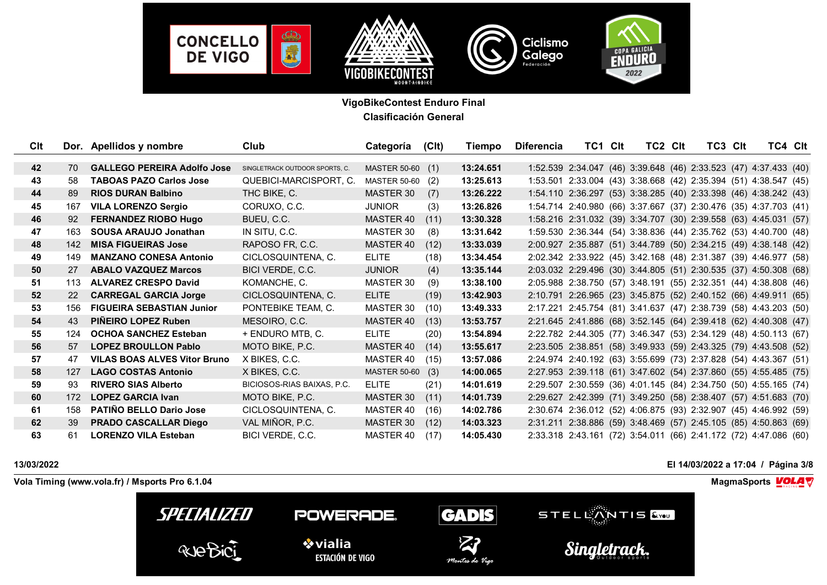

| Cl <sub>t</sub> |     | Dor. Apellidos y nombre             | Club                           | Categoría           | (C <sub>l</sub> ) | Tiempo    | <b>Diferencia</b> | TC1 CIt                                                          | TC2 CIt | TC3 CIt | TC4 CIt |  |
|-----------------|-----|-------------------------------------|--------------------------------|---------------------|-------------------|-----------|-------------------|------------------------------------------------------------------|---------|---------|---------|--|
|                 |     |                                     |                                |                     |                   |           |                   |                                                                  |         |         |         |  |
| 42              | 70. | <b>GALLEGO PEREIRA Adolfo Jose</b>  | SINGLETRACK OUTDOOR SPORTS, C. | MASTER 50-60 (1)    |                   | 13:24.651 |                   | 1:52.539 2:34.047 (46) 3:39.648 (46) 2:33.523 (47) 4:37.433 (40) |         |         |         |  |
| 43              | 58  | <b>TABOAS PAZO Carlos Jose</b>      | QUEBICI-MARCISPORT, C.         | <b>MASTER 50-60</b> | (2)               | 13:25.613 |                   | 1:53.501 2:33.004 (43) 3:38.668 (42) 2:35.394 (51) 4:38.547 (45) |         |         |         |  |
| 44              | 89  | <b>RIOS DURAN Balbino</b>           | THC BIKE, C.                   | MASTER 30           | (7)               | 13:26.222 |                   | 1:54.110 2:36.297 (53) 3:38.285 (40) 2:33.398 (46) 4:38.242 (43) |         |         |         |  |
| 45              | 167 | <b>VILA LORENZO Sergio</b>          | CORUXO, C.C.                   | <b>JUNIOR</b>       | (3)               | 13:26.826 |                   | 1:54.714 2:40.980 (66) 3:37.667 (37) 2:30.476 (35) 4:37.703 (41) |         |         |         |  |
| 46              | 92  | <b>FERNANDEZ RIOBO Hugo</b>         | BUEU, C.C.                     | MASTER 40           | (11)              | 13:30.328 |                   | 1:58.216 2:31.032 (39) 3:34.707 (30) 2:39.558 (63) 4:45.031 (57) |         |         |         |  |
| 47              | 163 | SOUSA ARAUJO Jonathan               | IN SITU, C.C.                  | MASTER 30           | (8)               | 13:31.642 |                   | 1:59.530 2:36.344 (54) 3:38.836 (44) 2:35.762 (53) 4:40.700 (48) |         |         |         |  |
| 48              | 142 | <b>MISA FIGUEIRAS Jose</b>          | RAPOSO FR, C.C.                | MASTER 40           | (12)              | 13:33.039 |                   | 2:00.927 2:35.887 (51) 3:44.789 (50) 2:34.215 (49) 4:38.148 (42) |         |         |         |  |
| 49              | 149 | <b>MANZANO CONESA Antonio</b>       | CICLOSQUINTENA, C.             | <b>ELITE</b>        | (18)              | 13:34.454 |                   | 2:02.342 2:33.922 (45) 3:42.168 (48) 2:31.387 (39) 4:46.977 (58) |         |         |         |  |
| 50              | 27  | <b>ABALO VAZQUEZ Marcos</b>         | BICI VERDE, C.C.               | <b>JUNIOR</b>       | (4)               | 13:35.144 |                   | 2:03.032 2:29.496 (30) 3:44.805 (51) 2:30.535 (37) 4:50.308 (68) |         |         |         |  |
| 51              | 113 | <b>ALVAREZ CRESPO David</b>         | KOMANCHE, C.                   | MASTER 30           | (9)               | 13:38.100 |                   | 2:05.988 2:38.750 (57) 3:48.191 (55) 2:32.351 (44) 4:38.808 (46) |         |         |         |  |
| 52              | 22  | <b>CARREGAL GARCIA Jorge</b>        | CICLOSQUINTENA, C.             | <b>ELITE</b>        | (19)              | 13:42.903 |                   | 2:10.791 2:26.965 (23) 3:45.875 (52) 2:40.152 (66) 4:49.911 (65) |         |         |         |  |
| 53              | 156 | <b>FIGUEIRA SEBASTIAN Junior</b>    | PONTEBIKE TEAM, C.             | MASTER 30           | (10)              | 13:49.333 |                   | 2:17.221 2:45.754 (81) 3:41.637 (47) 2:38.739 (58) 4:43.203 (50) |         |         |         |  |
| 54              | 43  | PIÑEIRO LOPEZ Ruben                 | MESOIRO, C.C.                  | MASTER 40           | (13)              | 13:53.757 |                   | 2:21.645 2:41.886 (68) 3:52.145 (64) 2:39.418 (62) 4:40.308 (47) |         |         |         |  |
| 55              | 124 | <b>OCHOA SANCHEZ Esteban</b>        | + ENDURO MTB, C.               | <b>ELITE</b>        | (20)              | 13:54.894 |                   | 2:22.782 2:44.305 (77) 3:46.347 (53) 2:34.129 (48) 4:50.113 (67) |         |         |         |  |
| 56              | 57  | <b>LOPEZ BROULLON Pablo</b>         | MOTO BIKE, P.C.                | MASTER 40           | (14)              | 13:55.617 |                   | 2:23.505 2:38.851 (58) 3:49.933 (59) 2:43.325 (79) 4:43.508 (52) |         |         |         |  |
| 57              | 47  | <b>VILAS BOAS ALVES Vitor Bruno</b> | X BIKES, C.C.                  | MASTER 40           | (15)              | 13:57.086 |                   | 2:24.974 2:40.192 (63) 3:55.699 (73) 2:37.828 (54) 4:43.367 (51) |         |         |         |  |
| 58              | 127 | <b>LAGO COSTAS Antonio</b>          | X BIKES, C.C.                  | MASTER 50-60 (3)    |                   | 14:00.065 |                   | 2:27.953 2:39.118 (61) 3:47.602 (54) 2:37.860 (55) 4:55.485 (75) |         |         |         |  |
| 59              | 93  | <b>RIVERO SIAS Alberto</b>          | BICIOSOS-RIAS BAIXAS, P.C.     | <b>ELITE</b>        | (21)              | 14:01.619 |                   | 2:29.507 2:30.559 (36) 4:01.145 (84) 2:34.750 (50) 4:55.165 (74) |         |         |         |  |
| 60              | 172 | <b>LOPEZ GARCIA Ivan</b>            | MOTO BIKE, P.C.                | MASTER 30           | (11)              | 14:01.739 |                   | 2:29.627 2:42.399 (71) 3:49.250 (58) 2:38.407 (57) 4:51.683 (70) |         |         |         |  |
| 61              | 158 | <b>PATIÑO BELLO Dario Jose</b>      | CICLOSQUINTENA, C.             | MASTER 40           | (16)              | 14:02.786 |                   | 2:30.674 2:36.012 (52) 4:06.875 (93) 2:32.907 (45) 4:46.992 (59) |         |         |         |  |
| 62              | 39  | <b>PRADO CASCALLAR Diego</b>        | VAL MIÑOR, P.C.                | MASTER 30           | (12)              | 14:03.323 |                   | 2:31.211 2:38.886 (59) 3:48.469 (57) 2:45.105 (85) 4:50.863 (69) |         |         |         |  |
| 63              | 61  | <b>LORENZO VILA Esteban</b>         | BICI VERDE, C.C.               | MASTER 40           | (17)              | 14:05.430 |                   | 2:33.318 2:43.161 (72) 3:54.011 (66) 2:41.172 (72) 4:47.086 (60) |         |         |         |  |

**13/03/2022 El 14/03/2022 a 17:04 / Página 3/8**

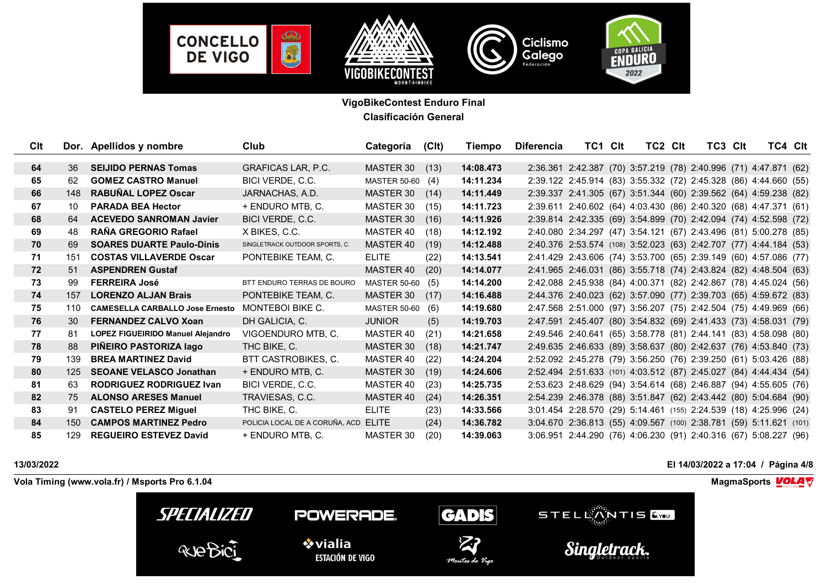

| Cl <sub>t</sub> |     | Dor. Apellidos y nombre                | Club                           | Categoría           | (C <sub>l</sub> ) | Tiempo    | <b>Diferencia</b> | TC1 CIt | TC2 CIt                                                            | TC3 CIt | TC4 CIt |  |
|-----------------|-----|----------------------------------------|--------------------------------|---------------------|-------------------|-----------|-------------------|---------|--------------------------------------------------------------------|---------|---------|--|
|                 |     |                                        |                                |                     |                   |           |                   |         |                                                                    |         |         |  |
| 64              | 36  | <b>SEIJIDO PERNAS Tomas</b>            | <b>GRAFICAS LAR, P.C.</b>      | MASTER 30           | (13)              | 14:08.473 |                   |         | 2:36.361 2:42.387 (70) 3:57.219 (78) 2:40.996 (71) 4:47.871 (62)   |         |         |  |
| 65              | 62  | <b>GOMEZ CASTRO Manuel</b>             | BICI VERDE, C.C.               | MASTER 50-60 (4)    |                   | 14:11.234 |                   |         | 2:39.122 2:45.914 (83) 3:55.332 (72) 2:45.328 (86) 4:44.660 (55)   |         |         |  |
| 66              | 148 | <b>RABUÑAL LOPEZ Oscar</b>             | JARNACHAS, A.D.                | MASTER 30           | (14)              | 14:11.449 |                   |         | 2:39.337 2:41.305 (67) 3:51.344 (60) 2:39.562 (64) 4:59.238 (82)   |         |         |  |
| 67              | 10  | <b>PARADA BEA Hector</b>               | + ENDURO MTB, C.               | MASTER 30           | (15)              | 14:11.723 |                   |         | 2:39.611 2:40.602 (64) 4:03.430 (86) 2:40.320 (68) 4:47.371 (61)   |         |         |  |
| 68              | 64  | <b>ACEVEDO SANROMAN Javier</b>         | BICI VERDE, C.C.               | MASTER 30           | (16)              | 14:11.926 |                   |         | 2:39.814 2:42.335 (69) 3:54.899 (70) 2:42.094 (74) 4:52.598 (72)   |         |         |  |
| 69              | 48  | RAÑA GREGORIO Rafael                   | X BIKES, C.C.                  | MASTER 40           | (18)              | 14:12.192 |                   |         | 2:40.080 2:34.297 (47) 3:54.121 (67) 2:43.496 (81) 5:00.278 (85)   |         |         |  |
| 70              | 69  | <b>SOARES DUARTE Paulo-Dinis</b>       | SINGLETRACK OUTDOOR SPORTS, C. | MASTER 40           | (19)              | 14:12.488 |                   |         | 2:40.376 2:53.574 (108) 3:52.023 (63) 2:42.707 (77) 4:44.184 (53)  |         |         |  |
| 71              | 151 | <b>COSTAS VILLAVERDE Oscar</b>         | PONTEBIKE TEAM, C.             | <b>ELITE</b>        | (22)              | 14:13.541 |                   |         | 2:41.429 2:43.606 (74) 3:53.700 (65) 2:39.149 (60) 4:57.086 (77)   |         |         |  |
| 72              | 51  | <b>ASPENDREN Gustaf</b>                |                                | MASTER 40           | (20)              | 14:14.077 |                   |         | 2:41.965 2:46.031 (86) 3:55.718 (74) 2:43.824 (82) 4:48.504 (63)   |         |         |  |
| 73              | 99  | <b>FERREIRA José</b>                   | BTT ENDURO TERRAS DE BOURO     | MASTER 50-60 (5)    |                   | 14:14.200 |                   |         | 2:42.088 2:45.938 (84) 4:00.371 (82) 2:42.867 (78) 4:45.024 (56)   |         |         |  |
| 74              | 157 | <b>LORENZO ALJAN Brais</b>             | PONTEBIKE TEAM, C.             | MASTER 30           | (17)              | 14:16.488 |                   |         | 2:44.376 2:40.023 (62) 3:57.090 (77) 2:39.703 (65) 4:59.672 (83)   |         |         |  |
| 75              | 110 | <b>CAMESELLA CARBALLO Jose Ernesto</b> | MONTEBOI BIKE C.               | <b>MASTER 50-60</b> | (6)               | 14:19.680 |                   |         | 2:47.568 2:51.000 (97) 3:56.207 (75) 2:42.504 (75) 4:49.969 (66)   |         |         |  |
| 76              | 30  | <b>FERNANDEZ CALVO Xoan</b>            | DH GALICIA, C.                 | <b>JUNIOR</b>       | (5)               | 14:19.703 |                   |         | 2:47.591 2:45.407 (80) 3:54.832 (69) 2:41.433 (73) 4:58.031 (79)   |         |         |  |
| 77              | 81  | LOPEZ FIGUEIRIDO Manuel Alejandro      | VIGOENDURO MTB, C.             | MASTER 40           | (21)              | 14:21.658 |                   |         | 2:49.546 2:40.641 (65) 3:58.778 (81) 2:44.141 (83) 4:58.098 (80)   |         |         |  |
| 78              | 88  | PIÑEIRO PASTORIZA lago                 | THC BIKE, C.                   | MASTER 30           | (18)              | 14:21.747 |                   |         | 2:49.635 2:46.633 (89) 3:58.637 (80) 2:42.637 (76) 4:53.840 (73)   |         |         |  |
| 79              | 139 | <b>BREA MARTINEZ David</b>             | BTT CASTROBIKES, C.            | MASTER 40           | (22)              | 14:24.204 |                   |         | 2:52.092 2:45.278 (79) 3:56.250 (76) 2:39.250 (61) 5:03.426 (88)   |         |         |  |
| 80              | 125 | <b>SEOANE VELASCO Jonathan</b>         | + ENDURO MTB, C.               | MASTER 30           | (19)              | 14:24.606 |                   |         | 2:52.494 2:51.633 (101) 4:03.512 (87) 2:45.027 (84) 4:44.434 (54)  |         |         |  |
| 81              | 63  | <b>RODRIGUEZ RODRIGUEZ Ivan</b>        | BICI VERDE, C.C.               | MASTER 40           | (23)              | 14:25.735 |                   |         | 2:53.623 2:48.629 (94) 3:54.614 (68) 2:46.887 (94) 4:55.605 (76)   |         |         |  |
| 82              | 75  | <b>ALONSO ARESES Manuel</b>            | TRAVIESAS, C.C.                | MASTER 40           | (24)              | 14:26.351 |                   |         | 2:54.239 2:46.378 (88) 3:51.847 (62) 2:43.442 (80) 5:04.684 (90)   |         |         |  |
| 83              | 91  | <b>CASTELO PEREZ Miguel</b>            | THC BIKE, C.                   | <b>ELITE</b>        | (23)              | 14:33.566 |                   |         | 3:01.454 2:28.570 (29) 5:14.461 (155) 2:24.539 (18) 4:25.996 (24)  |         |         |  |
| 84              | 150 | <b>CAMPOS MARTINEZ Pedro</b>           | POLICIA LOCAL DE A CORUÑA, ACD | <b>ELITE</b>        | (24)              | 14:36.782 |                   |         | 3:04.670 2:36.813 (55) 4:09.567 (100) 2:38.781 (59) 5:11.621 (101) |         |         |  |
| 85              | 129 | <b>REGUEIRO ESTEVEZ David</b>          | + ENDURO MTB, C.               | MASTER 30           | (20)              | 14:39.063 |                   |         | 3:06.951 2:44.290 (76) 4:06.230 (91) 2:40.316 (67) 5:08.227 (96)   |         |         |  |

**13/03/2022 El 14/03/2022 a 17:04 / Página 4/8**

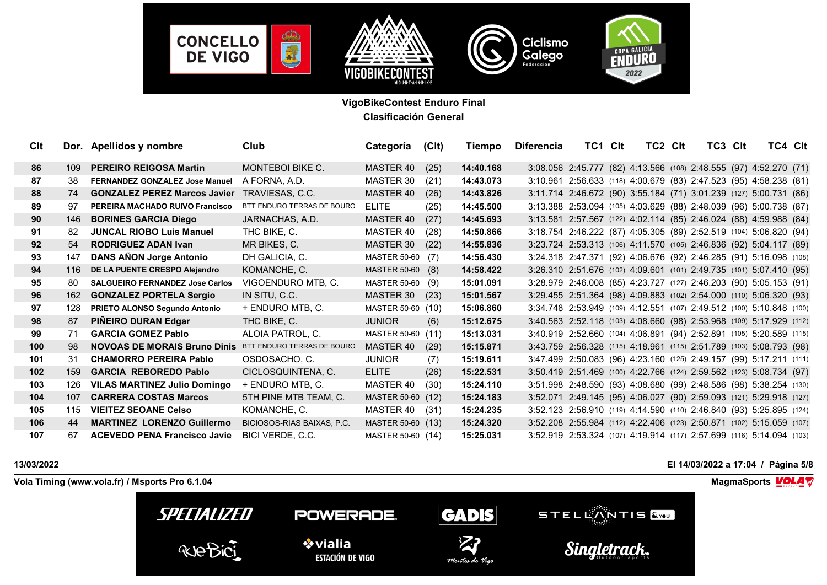

| Cl <sub>t</sub> |     | Dor. Apellidos y nombre                                        | Club                       | Categoría         | (C <sub>l</sub> ) | Tiempo    | <b>Diferencia</b> | TC1 CIt                                                              | TC2 CIt | TC3 CIt | TC4 CIt |  |
|-----------------|-----|----------------------------------------------------------------|----------------------------|-------------------|-------------------|-----------|-------------------|----------------------------------------------------------------------|---------|---------|---------|--|
|                 |     |                                                                |                            |                   |                   |           |                   |                                                                      |         |         |         |  |
| 86              | 109 | <b>PEREIRO REIGOSA Martin</b>                                  | <b>MONTEBOI BIKE C.</b>    | MASTER 40         | (25)              | 14:40.168 |                   | 3:08.056 2:45.777 (82) 4:13.566 (108) 2:48.555 (97) 4:52.270 (71)    |         |         |         |  |
| 87              | 38  | <b>FERNANDEZ GONZALEZ Jose Manuel</b>                          | A FORNA, A.D.              | MASTER 30         | (21)              | 14:43.073 |                   | 3:10.961 2:56.633 (118) 4:00.679 (83) 2:47.523 (95) 4:58.238 (81)    |         |         |         |  |
| 88              | 74  | <b>GONZALEZ PEREZ Marcos Javier</b>                            | TRAVIESAS, C.C.            | MASTER 40         | (26)              | 14:43.826 |                   | 3:11.714 2:46.672 (90) 3:55.184 (71) 3:01.239 (127) 5:00.731 (86)    |         |         |         |  |
| 89              | 97  | PEREIRA MACHADO RUIVO Francisco                                | BTT ENDURO TERRAS DE BOURO | <b>ELITE</b>      | (25)              | 14:45.500 |                   | 3:13.388 2:53.094 (105) 4:03.629 (88) 2:48.039 (96) 5:00.738 (87)    |         |         |         |  |
| 90              | 146 | <b>BORINES GARCIA Diego</b>                                    | JARNACHAS, A.D.            | MASTER 40         | (27)              | 14:45.693 |                   | 3:13.581 2:57.567 (122) 4:02.114 (85) 2:46.024 (88) 4:59.988 (84)    |         |         |         |  |
| 91              | 82  | <b>JUNCAL RIOBO Luis Manuel</b>                                | THC BIKE, C.               | MASTER 40         | (28)              | 14:50.866 |                   | 3:18.754 2:46.222 (87) 4:05.305 (89) 2:52.519 (104) 5:06.820 (94)    |         |         |         |  |
| 92              | 54  | <b>RODRIGUEZ ADAN Ivan</b>                                     | MR BIKES, C.               | MASTER 30         | (22)              | 14:55.836 |                   | 3:23.724 2:53.313 (106) 4:11.570 (105) 2:46.836 (92) 5:04.117 (89)   |         |         |         |  |
| 93              | 147 | <b>DANS AÑON Jorge Antonio</b>                                 | DH GALICIA, C.             | MASTER 50-60 (7)  |                   | 14:56.430 |                   | 3:24.318 2:47.371 (92) 4:06.676 (92) 2:46.285 (91) 5:16.098 (108)    |         |         |         |  |
| 94              | 116 | DE LA PUENTE CRESPO Alejandro                                  | KOMANCHE, C.               | MASTER 50-60 (8)  |                   | 14:58.422 |                   | 3:26.310 2:51.676 (102) 4:09.601 (101) 2:49.735 (101) 5:07.410 (95)  |         |         |         |  |
| 95              | 80  | <b>SALGUEIRO FERNANDEZ Jose Carlos</b>                         | VIGOENDURO MTB, C.         | MASTER 50-60 (9)  |                   | 15:01.091 |                   | 3:28.979 2:46.008 (85) 4:23.727 (127) 2:46.203 (90) 5:05.153 (91)    |         |         |         |  |
| 96              | 162 | <b>GONZALEZ PORTELA Sergio</b>                                 | IN SITU, C.C.              | MASTER 30         | (23)              | 15:01.567 |                   | 3:29.455 2:51.364 (98) 4:09.883 (102) 2:54.000 (110) 5:06.320 (93)   |         |         |         |  |
| 97              | 128 | PRIETO ALONSO Segundo Antonio                                  | + ENDURO MTB, C.           | MASTER 50-60 (10) |                   | 15:06.860 |                   | 3:34.748 2:53.949 (109) 4:12.551 (107) 2:49.512 (100) 5:10.848 (100) |         |         |         |  |
| 98              | 87  | PIÑEIRO DURAN Edgar                                            | THC BIKE, C.               | <b>JUNIOR</b>     | (6)               | 15:12.675 |                   | 3:40.563 2:52.118 (103) 4:08.660 (98) 2:53.968 (109) 5:17.929 (112)  |         |         |         |  |
| 99              | 71  | <b>GARCIA GOMEZ Pablo</b>                                      | ALOIA PATROL, C.           | MASTER 50-60 (11) |                   | 15:13.031 |                   | 3:40.919 2:52.660 (104) 4:06.891 (94) 2:52.891 (105) 5:20.589 (115)  |         |         |         |  |
| 100             | 98  | <b>NOVOAS DE MORAIS Bruno Dinis BTT ENDURO TERRAS DE BOURO</b> |                            | MASTER 40         | (29)              | 15:15.871 |                   | 3:43.759 2:56.328 (115) 4:18.961 (115) 2:51.789 (103) 5:08.793 (98)  |         |         |         |  |
| 101             | 31  | <b>CHAMORRO PEREIRA Pablo</b>                                  | OSDOSACHO, C.              | <b>JUNIOR</b>     | (7)               | 15:19.611 |                   | 3:47.499 2:50.083 (96) 4:23.160 (125) 2:49.157 (99) 5:17.211 (111)   |         |         |         |  |
| 102             | 159 | <b>GARCIA REBOREDO Pablo</b>                                   | CICLOSQUINTENA, C.         | <b>ELITE</b>      | (26)              | 15:22.531 |                   | 3:50.419 2:51.469 (100) 4:22.766 (124) 2:59.562 (123) 5:08.734 (97)  |         |         |         |  |
| 103             | 126 | <b>VILAS MARTINEZ Julio Domingo</b>                            | + ENDURO MTB, C.           | MASTER 40         | (30)              | 15:24.110 |                   | 3:51.998 2:48.590 (93) 4:08.680 (99) 2:48.586 (98) 5:38.254 (130)    |         |         |         |  |
| 104             | 107 | <b>CARRERA COSTAS Marcos</b>                                   | 5TH PINE MTB TEAM, C.      | MASTER 50-60 (12) |                   | 15:24.183 |                   | 3:52.071 2:49.145 (95) 4:06.027 (90) 2:59.093 (121) 5:29.918 (127)   |         |         |         |  |
| 105             | 115 | <b>VIEITEZ SEOANE Celso</b>                                    | KOMANCHE, C.               | MASTER 40         | (31)              | 15:24.235 |                   | 3:52.123 2:56.910 (119) 4:14.590 (110) 2:46.840 (93) 5:25.895 (124)  |         |         |         |  |
| 106             | 44  | <b>MARTINEZ LORENZO Guillermo</b>                              | BICIOSOS-RIAS BAIXAS, P.C. | MASTER 50-60 (13) |                   | 15:24.320 |                   | 3:52.208 2:55.984 (112) 4:22.406 (123) 2:50.871 (102) 5:15.059 (107) |         |         |         |  |
| 107             | 67  | <b>ACEVEDO PENA Francisco Javie</b>                            | BICI VERDE, C.C.           | MASTER 50-60 (14) |                   | 15:25.031 |                   | 3:52.919 2:53.324 (107) 4:19.914 (117) 2:57.699 (116) 5:14.094 (103) |         |         |         |  |

**13/03/2022 El 14/03/2022 a 17:04 / Página 5/8**

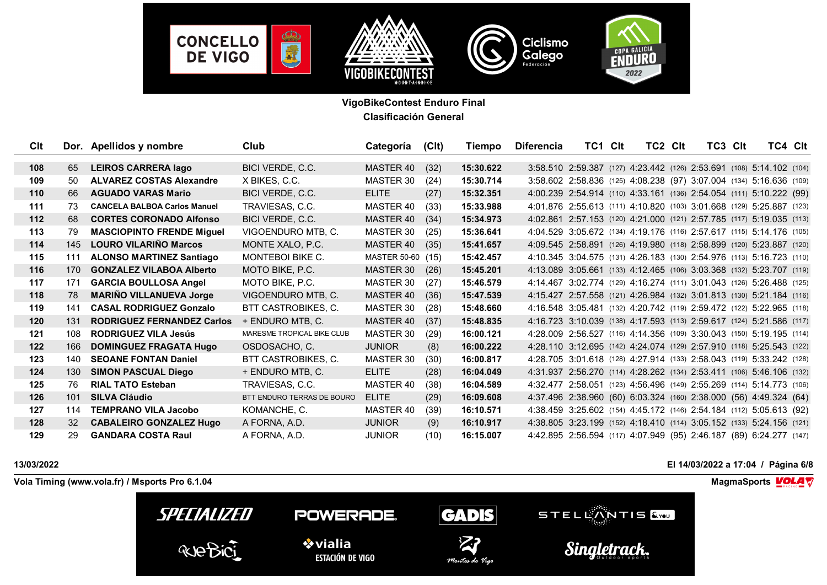

| Clt   |           | Dor. Apellidos y nombre             | Club                       | Categoría         | (C <sub>l</sub> ) | Tiempo    | <b>Diferencia</b> | TC1 CIt                                                              | TC2 CIt | TC3 CIt | TC4 Clt |  |
|-------|-----------|-------------------------------------|----------------------------|-------------------|-------------------|-----------|-------------------|----------------------------------------------------------------------|---------|---------|---------|--|
|       |           |                                     |                            |                   |                   |           |                   |                                                                      |         |         |         |  |
| 108   | 65        | <b>LEIROS CARRERA lago</b>          | BICI VERDE, C.C.           | MASTER 40         | (32)              | 15:30.622 |                   | 3:58.510 2:59.387 (127) 4:23.442 (126) 2:53.691 (108) 5:14.102 (104) |         |         |         |  |
| 109   | 50        | <b>ALVAREZ COSTAS Alexandre</b>     | X BIKES, C.C.              | MASTER 30         | (24)              | 15:30.714 |                   | 3:58.602 2:58.836 (125) 4:08.238 (97) 3:07.004 (134) 5:16.636 (109)  |         |         |         |  |
| 110   | 66        | <b>AGUADO VARAS Mario</b>           | BICI VERDE, C.C.           | <b>ELITE</b>      | (27)              | 15:32.351 |                   | 4:00.239 2:54.914 (110) 4:33.161 (136) 2:54.054 (111) 5:10.222 (99)  |         |         |         |  |
| 111   | 73        | <b>CANCELA BALBOA Carlos Manuel</b> | TRAVIESAS, C.C.            | MASTER 40         | (33)              | 15:33.988 |                   | 4:01.876 2:55.613 (111) 4:10.820 (103) 3:01.668 (129) 5:25.887 (123) |         |         |         |  |
| $112$ | 68        | <b>CORTES CORONADO Alfonso</b>      | BICI VERDE, C.C.           | MASTER 40         | (34)              | 15:34.973 |                   | 4:02.861 2:57.153 (120) 4:21.000 (121) 2:57.785 (117) 5:19.035 (113) |         |         |         |  |
| 113   | 79        | <b>MASCIOPINTO FRENDE Miguel</b>    | VIGOENDURO MTB, C.         | MASTER 30         | (25)              | 15:36.641 |                   | 4:04.529 3:05.672 (134) 4:19.176 (116) 2:57.617 (115) 5:14.176 (105) |         |         |         |  |
| 114   | 145       | <b>LOURO VILARIÑO Marcos</b>        | MONTE XALO, P.C.           | MASTER 40         | (35)              | 15:41.657 |                   | 4:09.545 2:58.891 (126) 4:19.980 (118) 2:58.899 (120) 5:23.887 (120) |         |         |         |  |
| 115   | 111       | <b>ALONSO MARTINEZ Santiago</b>     | MONTEBOI BIKE C.           | MASTER 50-60 (15) |                   | 15:42.457 |                   | 4:10.345 3:04.575 (131) 4:26.183 (130) 2:54.976 (113) 5:16.723 (110) |         |         |         |  |
| 116   | 170       | <b>GONZALEZ VILABOA Alberto</b>     | MOTO BIKE, P.C.            | MASTER 30         | (26)              | 15:45.201 |                   | 4:13.089 3:05.661 (133) 4:12.465 (106) 3:03.368 (132) 5:23.707 (119) |         |         |         |  |
| 117   | 171       | <b>GARCIA BOULLOSA Angel</b>        | MOTO BIKE, P.C.            | MASTER 30         | (27)              | 15:46.579 |                   | 4:14.467 3:02.774 (129) 4:16.274 (111) 3:01.043 (126) 5:26.488 (125) |         |         |         |  |
| 118   | 78        | <b>MARIÑO VILLANUEVA Jorge</b>      | VIGOENDURO MTB, C.         | <b>MASTER 40</b>  | (36)              | 15:47.539 |                   | 4:15.427 2:57.558 (121) 4:26.984 (132) 3:01.813 (130) 5:21.184 (116) |         |         |         |  |
| 119   | 141       | <b>CASAL RODRIGUEZ Gonzalo</b>      | <b>BTT CASTROBIKES, C.</b> | MASTER 30         | (28)              | 15:48.660 |                   | 4:16.548 3:05.481 (132) 4:20.742 (119) 2:59.472 (122) 5:22.965 (118) |         |         |         |  |
| 120   | 131       | <b>RODRIGUEZ FERNANDEZ Carlos</b>   | + ENDURO MTB, C.           | MASTER 40         | (37)              | 15:48.835 |                   | 4:16.723 3:10.039 (138) 4:17.593 (113) 2:59.617 (124) 5:21.586 (117) |         |         |         |  |
| 121   | 108       | <b>RODRIGUEZ VILA Jesús</b>         | MARESME TROPICAL BIKE CLUB | MASTER 30         | (29)              | 16:00.121 |                   | 4:28.009 2:56.527 (116) 4:14.356 (109) 3:30.043 (150) 5:19.195 (114) |         |         |         |  |
| 122   | 166       | <b>DOMINGUEZ FRAGATA Hugo</b>       | OSDOSACHO, C.              | <b>JUNIOR</b>     | (8)               | 16:00.222 |                   | 4:28.110 3:12.695 (142) 4:24.074 (129) 2:57.910 (118) 5:25.543 (122) |         |         |         |  |
| 123   | 140       | <b>SEOANE FONTAN Daniel</b>         | BTT CASTROBIKES, C.        | MASTER 30         | (30)              | 16:00.817 |                   | 4:28.705 3:01.618 (128) 4:27.914 (133) 2:58.043 (119) 5:33.242 (128) |         |         |         |  |
| 124   | 130       | <b>SIMON PASCUAL Diego</b>          | + ENDURO MTB, C.           | <b>ELITE</b>      | (28)              | 16:04.049 |                   | 4:31.937 2:56.270 (114) 4:28.262 (134) 2:53.411 (106) 5:46.106 (132) |         |         |         |  |
| 125   | 76        | <b>RIAL TATO Esteban</b>            | TRAVIESAS, C.C.            | <b>MASTER 40</b>  | (38)              | 16:04.589 |                   | 4:32.477 2:58.051 (123) 4:56.496 (149) 2:55.269 (114) 5:14.773 (106) |         |         |         |  |
| 126   | 101       | <b>SILVA Cláudio</b>                | BTT ENDURO TERRAS DE BOURO | <b>ELITE</b>      | (29)              | 16:09.608 |                   | 4:37.496 2:38.960 (60) 6:03.324 (160) 2:38.000 (56) 4:49.324 (64)    |         |         |         |  |
| 127   | 114       | <b>TEMPRANO VILA Jacobo</b>         | KOMANCHE, C.               | MASTER 40         | (39)              | 16:10.571 |                   | 4:38.459 3:25.602 (154) 4:45.172 (146) 2:54.184 (112) 5:05.613 (92)  |         |         |         |  |
| 128   | <b>32</b> | <b>CABALEIRO GONZALEZ Hugo</b>      | A FORNA, A.D.              | <b>JUNIOR</b>     | (9)               | 16:10.917 |                   | 4:38.805 3:23.199 (152) 4:18.410 (114) 3:05.152 (133) 5:24.156 (121) |         |         |         |  |
| 129   | 29        | <b>GANDARA COSTA Raul</b>           | A FORNA, A.D.              | <b>JUNIOR</b>     | (10)              | 16:15.007 |                   | 4:42.895 2:56.594 (117) 4:07.949 (95) 2:46.187 (89) 6:24.277 (147)   |         |         |         |  |

**13/03/2022 El 14/03/2022 a 17:04 / Página 6/8**

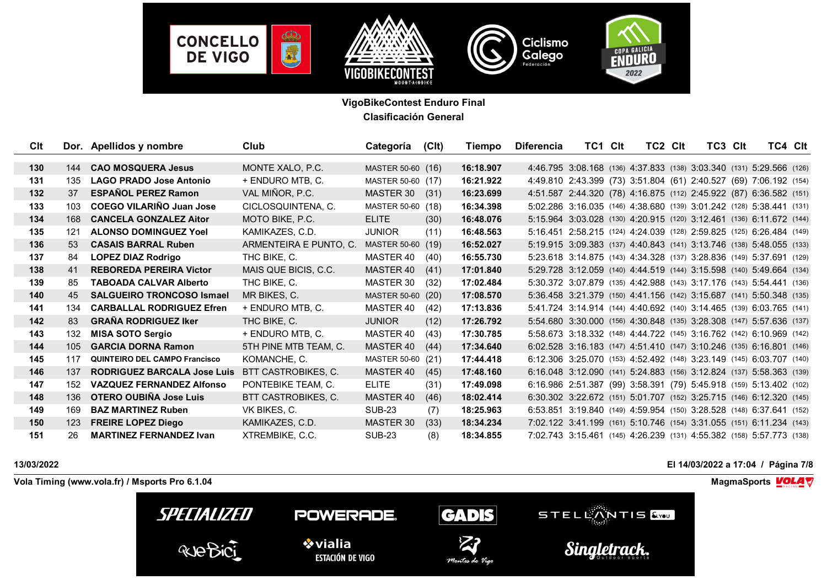

| Clt   |         | Dor. Apellidos y nombre              | Club                   | Categoría         | (C <sup>l</sup> ) | Tiempo    | <b>Diferencia</b> | TC1 Clt                                                              | TC2 CIt | TC3 CIt | TC4 CIt |  |
|-------|---------|--------------------------------------|------------------------|-------------------|-------------------|-----------|-------------------|----------------------------------------------------------------------|---------|---------|---------|--|
|       |         |                                      |                        |                   |                   |           |                   |                                                                      |         |         |         |  |
| 130   | 144     | <b>CAO MOSQUERA Jesus</b>            | MONTE XALO, P.C.       | MASTER 50-60 (16) |                   | 16:18.907 |                   | 4:46.795 3:08.168 (136) 4:37.833 (138) 3:03.340 (131) 5:29.566 (126) |         |         |         |  |
| 131   | 135     | <b>LAGO PRADO Jose Antonio</b>       | + ENDURO MTB, C.       | MASTER 50-60 (17) |                   | 16:21.922 |                   | 4:49.810 2:43.399 (73) 3:51.804 (61) 2:40.527 (69) 7:06.192 (154)    |         |         |         |  |
| $132$ | 37      | <b>ESPAÑOL PEREZ Ramon</b>           | VAL MIÑOR, P.C.        | MASTER 30         | (31)              | 16:23.699 |                   | 4:51.587 2:44.320 (78) 4:16.875 (112) 2:45.922 (87) 6:36.582 (151)   |         |         |         |  |
| 133   | 103     | <b>COEGO VILARIÑO Juan Jose</b>      | CICLOSQUINTENA, C.     | MASTER 50-60 (18) |                   | 16:34.398 |                   | 5:02.286 3:16.035 (146) 4:38.680 (139) 3:01.242 (128) 5:38.441 (131) |         |         |         |  |
| 134   | 168     | <b>CANCELA GONZALEZ Aitor</b>        | MOTO BIKE, P.C.        | <b>ELITE</b>      | (30)              | 16:48.076 |                   | 5:15.964 3:03.028 (130) 4:20.915 (120) 3:12.461 (136) 6:11.672 (144) |         |         |         |  |
| 135   | 121     | <b>ALONSO DOMINGUEZ Yoel</b>         | KAMIKAZES, C.D.        | <b>JUNIOR</b>     | (11)              | 16:48.563 |                   | 5:16.451 2:58.215 (124) 4:24.039 (128) 2:59.825 (125) 6:26.484 (149) |         |         |         |  |
| 136   | 53      | <b>CASAIS BARRAL Ruben</b>           | ARMENTEIRA E PUNTO, C. | MASTER 50-60 (19) |                   | 16:52.027 |                   | 5:19.915 3:09.383 (137) 4:40.843 (141) 3:13.746 (138) 5:48.055 (133) |         |         |         |  |
| 137   | 84      | <b>LOPEZ DIAZ Rodrigo</b>            | THC BIKE, C.           | MASTER 40         | (40)              | 16:55.730 |                   | 5:23.618 3:14.875 (143) 4:34.328 (137) 3:28.836 (149) 5:37.691 (129) |         |         |         |  |
| 138   | 41      | <b>REBOREDA PEREIRA Victor</b>       | MAIS QUE BICIS, C.C.   | MASTER 40         | (41)              | 17:01.840 |                   | 5:29.728 3:12.059 (140) 4:44.519 (144) 3:15.598 (140) 5:49.664 (134) |         |         |         |  |
| 139   | 85      | <b>TABOADA CALVAR Alberto</b>        | THC BIKE, C.           | MASTER 30         | (32)              | 17:02.484 |                   | 5:30.372 3:07.879 (135) 4:42.988 (143) 3:17.176 (143) 5:54.441 (136) |         |         |         |  |
| 140   | 45      | <b>SALGUEIRO TRONCOSO Ismael</b>     | MR BIKES, C.           | MASTER 50-60 (20) |                   | 17:08.570 |                   | 5:36.458 3:21.379 (150) 4:41.156 (142) 3:15.687 (141) 5:50.348 (135) |         |         |         |  |
| 141   | 134     | <b>CARBALLAL RODRIGUEZ Efren</b>     | + ENDURO MTB. C.       | MASTER 40         | (42)              | 17:13.836 |                   | 5:41.724 3:14.914 (144) 4:40.692 (140) 3:14.465 (139) 6:03.765 (141) |         |         |         |  |
| 142   | 83      | <b>GRANA RODRIGUEZ Iker</b>          | THC BIKE, C.           | <b>JUNIOR</b>     | (12)              | 17:26.792 |                   | 5:54.680 3:30.000 (156) 4:30.848 (135) 3:28.308 (147) 5:57.636 (137) |         |         |         |  |
| 143   | 132     | <b>MISA SOTO Sergio</b>              | + ENDURO MTB. C.       | MASTER 40         | (43)              | 17:30.785 |                   | 5:58.673 3:18.332 (148) 4:44.722 (145) 3:16.762 (142) 6:10.969 (142) |         |         |         |  |
| 144   | $105 -$ | <b>GARCIA DORNA Ramon</b>            | 5TH PINE MTB TEAM, C.  | MASTER 40         | (44)              | 17:34.640 |                   | 6:02.528 3:16.183 (147) 4:51.410 (147) 3:10.246 (135) 6:16.801 (146) |         |         |         |  |
| 145   | 117     | <b>QUINTEIRO DEL CAMPO Francisco</b> | KOMANCHE, C.           | MASTER 50-60 (21) |                   | 17:44.418 |                   | 6:12.306 3:25.070 (153) 4:52.492 (148) 3:23.149 (145) 6:03.707 (140) |         |         |         |  |
| 146   | 137     | <b>RODRIGUEZ BARCALA Jose Luis</b>   | BTT CASTROBIKES, C.    | MASTER 40         | (45)              | 17:48.160 |                   | 6:16.048 3:12.090 (141) 5:24.883 (156) 3:12.824 (137) 5:58.363 (139) |         |         |         |  |
| 147   | 152     | <b>VAZQUEZ FERNANDEZ Alfonso</b>     | PONTEBIKE TEAM, C.     | <b>ELITE</b>      | (31)              | 17:49.098 |                   | 6:16.986 2:51.387 (99) 3:58.391 (79) 5:45.918 (159) 5:13.402 (102)   |         |         |         |  |
| 148   | 136     | OTERO OUBIÑA Jose Luis               | BTT CASTROBIKES, C.    | MASTER 40         | (46)              | 18:02.414 |                   | 6:30.302 3:22.672 (151) 5:01.707 (152) 3:25.715 (146) 6:12.320 (145) |         |         |         |  |
| 149   | 169     | <b>BAZ MARTINEZ Ruben</b>            | VK BIKES, C.           | <b>SUB-23</b>     | (7)               | 18:25.963 |                   | 6:53.851 3:19.840 (149) 4:59.954 (150) 3:28.528 (148) 6:37.641 (152) |         |         |         |  |
| 150   | 123     | <b>FREIRE LOPEZ Diego</b>            | KAMIKAZES, C.D.        | <b>MASTER 30</b>  | (33)              | 18:34.234 |                   | 7:02.122 3:41.199 (161) 5:10.746 (154) 3:31.055 (151) 6:11.234 (143) |         |         |         |  |
| 151   | 26      | <b>MARTINEZ FERNANDEZ Ivan</b>       | XTREMBIKE, C.C.        | <b>SUB-23</b>     | (8)               | 18:34.855 |                   | 7:02.743 3:15.461 (145) 4:26.239 (131) 4:55.382 (158) 5:57.773 (138) |         |         |         |  |

**13/03/2022 El 14/03/2022 a 17:04 / Página 7/8**